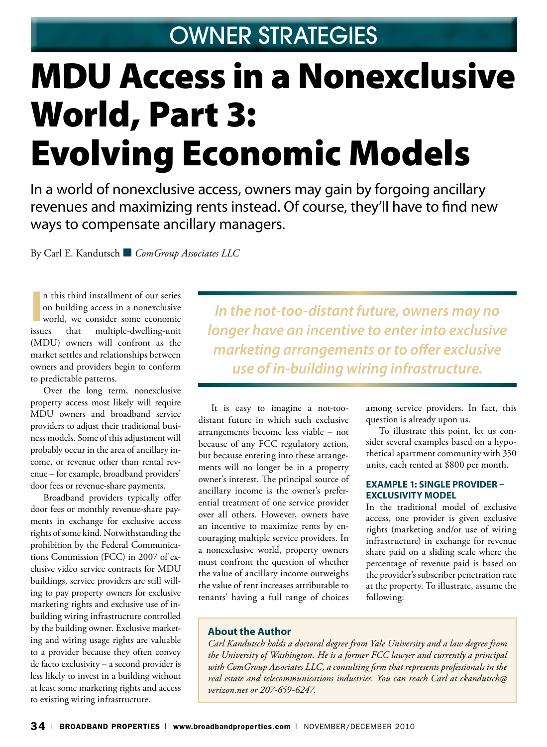## Owner Strategies

# MDU Access in a Nonexclusive World, Part 3: Evolving Economic Models

In a world of nonexclusive access, owners may gain by forgoing ancillary revenues and maximizing rents instead. Of course, they'll have to find new ways to compensate ancillary managers.

By Carl E. Kandutsch ■ *ComGroup Associates LLC*

**I** n this third installment of our series on building access in a nonexclusive world, we consider some economic that multiple-dwelling-unit (MDU) owners will confront as the market settles and relationships between owners and providers begin to conform to predictable patterns.

Over the long term, nonexclusive property access most likely will require MDU owners and broadband service providers to adjust their traditional business models. Some of this adjustment will probably occur in the area of ancillary income, or revenue other than rental revenue – for example, broadband providers' door fees or revenue-share payments.

Broadband providers typically offer door fees or monthly revenue-share payments in exchange for exclusive access rights of some kind. Notwithstanding the prohibition by the Federal Communications Commission (FCC) in 2007 of exclusive video service contracts for MDU buildings, service providers are still willing to pay property owners for exclusive marketing rights and exclusive use of inbuilding wiring infrastructure controlled by the building owner. Exclusive marketing and wiring usage rights are valuable to a provider because they often convey de facto exclusivity – a second provider is less likely to invest in a building without at least some marketing rights and access to existing wiring infrastructure.

*In the not-too-distant future, owners may no longer have an incentive to enter into exclusive marketing arrangements or to offer exclusive use of in-building wiring infrastructure.*

It is easy to imagine a not-toodistant future in which such exclusive arrangements become less viable – not because of any FCC regulatory action, but because entering into these arrangements will no longer be in a property owner's interest. The principal source of ancillary income is the owner's preferential treatment of one service provider over all others. However, owners have an incentive to maximize rents by encouraging multiple service providers. In a nonexclusive world, property owners must confront the question of whether the value of ancillary income outweighs the value of rent increases attributable to tenants' having a full range of choices

among service providers. In fact, this question is already upon us.

To illustrate this point, let us consider several examples based on a hypothetical apartment community with 350 units, each rented at \$800 per month.

#### **Example 1: Single Provider – Exclusivity Model**

In the traditional model of exclusive access, one provider is given exclusive rights (marketing and/or use of wiring infrastructure) in exchange for revenue share paid on a sliding scale where the percentage of revenue paid is based on the provider's subscriber penetration rate at the property. To illustrate, assume the following:

#### **About the Author**

*Carl Kandutsch holds a doctoral degree from Yale University and a law degree from the University of Washington. He is a former FCC lawyer and currently a principal with ComGroup Associates LLC, a consulting firm that represents professionals in the real estate and telecommunications industries. You can reach Carl at ckandutsch@ verizon.net or 207-659-6247.*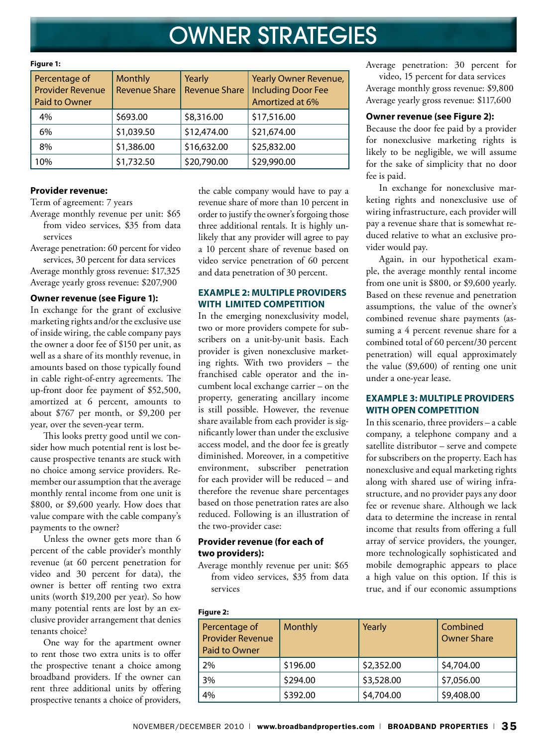# Owner Strategies

| Percentage of           | <b>Monthly</b>       | Yearly               | <b>Yearly Owner Revenue,</b> |  |  |
|-------------------------|----------------------|----------------------|------------------------------|--|--|
| <b>Provider Revenue</b> | <b>Revenue Share</b> | <b>Revenue Share</b> | <b>Including Door Fee</b>    |  |  |
| Paid to Owner           |                      |                      | Amortized at 6%              |  |  |
| 4%                      | \$693.00             | \$8,316.00           | \$17,516.00                  |  |  |
| 6%                      | \$1,039.50           | \$12,474.00          | \$21,674.00                  |  |  |
| 8%                      | \$1,386.00           | \$16,632.00          | \$25,832.00                  |  |  |
| 10%                     | \$1,732.50           | \$20,790.00          | \$29,990.00                  |  |  |

#### **Figure 1:**

#### **Provider revenue:**

Term of agreement: 7 years

Average monthly revenue per unit: \$65 from video services, \$35 from data services

Average penetration: 60 percent for video

services, 30 percent for data services Average monthly gross revenue: \$17,325 Average yearly gross revenue: \$207,900

#### **Owner revenue (see Figure 1):**

In exchange for the grant of exclusive marketing rights and/or the exclusive use of inside wiring, the cable company pays the owner a door fee of \$150 per unit, as well as a share of its monthly revenue, in amounts based on those typically found in cable right-of-entry agreements. The up-front door fee payment of \$52,500, amortized at 6 percent, amounts to about \$767 per month, or \$9,200 per year, over the seven-year term.

This looks pretty good until we consider how much potential rent is lost because prospective tenants are stuck with no choice among service providers. Remember our assumption that the average monthly rental income from one unit is \$800, or \$9,600 yearly. How does that value compare with the cable company's payments to the owner?

Unless the owner gets more than 6 percent of the cable provider's monthly revenue (at 60 percent penetration for video and 30 percent for data), the owner is better off renting two extra units (worth \$19,200 per year). So how many potential rents are lost by an exclusive provider arrangement that denies tenants choice?

One way for the apartment owner to rent those two extra units is to offer the prospective tenant a choice among broadband providers. If the owner can rent three additional units by offering prospective tenants a choice of providers,

the cable company would have to pay a revenue share of more than 10 percent in order to justify the owner's forgoing those three additional rentals. It is highly unlikely that any provider will agree to pay a 10 percent share of revenue based on video service penetration of 60 percent and data penetration of 30 percent.

#### **Example 2: Multiple Providers with Limited Competition**

In the emerging nonexclusivity model, two or more providers compete for subscribers on a unit-by-unit basis. Each provider is given nonexclusive marketing rights. With two providers – the franchised cable operator and the incumbent local exchange carrier – on the property, generating ancillary income is still possible. However, the revenue share available from each provider is significantly lower than under the exclusive access model, and the door fee is greatly diminished. Moreover, in a competitive environment, subscriber penetration for each provider will be reduced – and therefore the revenue share percentages based on those penetration rates are also reduced. Following is an illustration of the two-provider case:

#### **Provider revenue (for each of two providers):**

Average monthly revenue per unit: \$65 from video services, \$35 from data services

Average penetration: 30 percent for

video, 15 percent for data services Average monthly gross revenue: \$9,800 Average yearly gross revenue: \$117,600

#### **Owner revenue (see Figure 2):**

Because the door fee paid by a provider for nonexclusive marketing rights is likely to be negligible, we will assume for the sake of simplicity that no door fee is paid.

In exchange for nonexclusive marketing rights and nonexclusive use of wiring infrastructure, each provider will pay a revenue share that is somewhat reduced relative to what an exclusive provider would pay.

Again, in our hypothetical example, the average monthly rental income from one unit is \$800, or \$9,600 yearly. Based on these revenue and penetration assumptions, the value of the owner's combined revenue share payments (assuming a 4 percent revenue share for a combined total of 60 percent/30 percent penetration) will equal approximately the value (\$9,600) of renting one unit under a one-year lease.

#### **Example 3: Multiple Providers with Open Competition**

In this scenario, three providers – a cable company, a telephone company and a satellite distributor – serve and compete for subscribers on the property. Each has nonexclusive and equal marketing rights along with shared use of wiring infrastructure, and no provider pays any door fee or revenue share. Although we lack data to determine the increase in rental income that results from offering a full array of service providers, the younger, more technologically sophisticated and mobile demographic appears to place a high value on this option. If this is true, and if our economic assumptions

#### **Figure 2:**

| Percentage of<br><b>Provider Revenue</b><br>Paid to Owner | <b>Monthly</b> | Yearly     | Combined<br><b>Owner Share</b> |
|-----------------------------------------------------------|----------------|------------|--------------------------------|
| 2%                                                        | \$196.00       | \$2,352.00 | \$4,704.00                     |
| 3%                                                        | \$294.00       | \$3,528.00 | \$7,056.00                     |
| 4%                                                        | \$392.00       | \$4,704.00 | \$9,408.00                     |